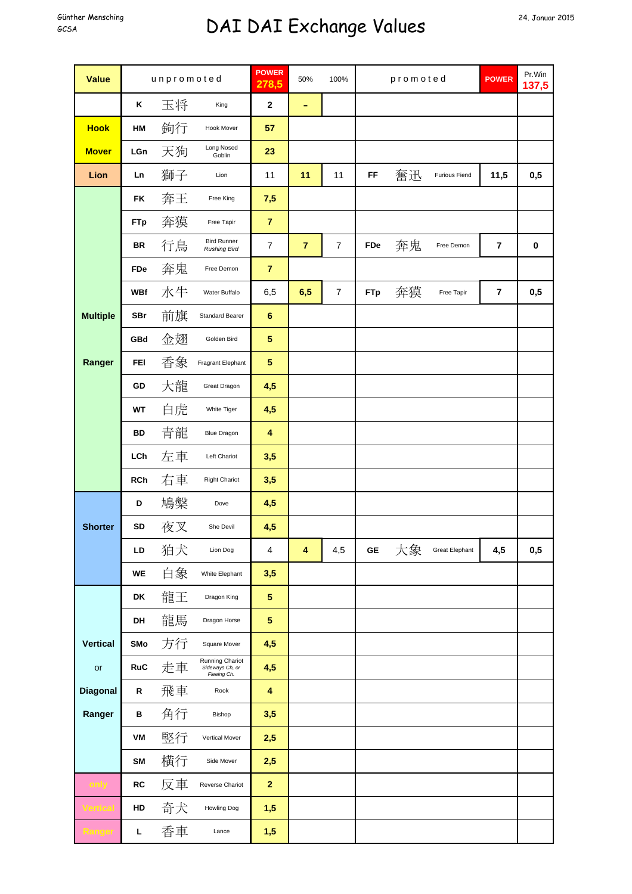## Günther Mensching **DAI DAI Exchange Values** 24. Januar 2015

| <b>Value</b>    | unpromoted |    |                                                   | <b>POWER</b><br>278,5   | 50%            | 100%           | promoted   |    |                       | <b>POWER</b>   | Pr.Win<br>137,5 |
|-----------------|------------|----|---------------------------------------------------|-------------------------|----------------|----------------|------------|----|-----------------------|----------------|-----------------|
|                 | Κ          | 玉将 | King                                              | $\mathbf 2$             | ۰              |                |            |    |                       |                |                 |
| <b>Hook</b>     | HM         | 鉤行 | Hook Mover                                        | 57                      |                |                |            |    |                       |                |                 |
| <b>Mover</b>    | LGn        | 天狗 | Long Nosed<br>Goblin                              | 23                      |                |                |            |    |                       |                |                 |
| Lion            | Ln         | 獅子 | Lion                                              | 11                      | 11             | 11             | FF         | 奮迅 | <b>Furious Fiend</b>  | 11,5           | 0,5             |
|                 | <b>FK</b>  | 奔王 | Free King                                         | 7,5                     |                |                |            |    |                       |                |                 |
|                 | <b>FTp</b> | 奔獏 | Free Tapir                                        | $\overline{7}$          |                |                |            |    |                       |                |                 |
|                 | <b>BR</b>  | 行鳥 | <b>Bird Runner</b><br><b>Rushing Bird</b>         | $\overline{7}$          | $\overline{7}$ | $\overline{7}$ | FDe        | 奔鬼 | Free Demon            | 7              | $\pmb{0}$       |
|                 | FDe        | 奔鬼 | Free Demon                                        | $\overline{7}$          |                |                |            |    |                       |                |                 |
|                 | <b>WBf</b> | 水牛 | Water Buffalo                                     | 6,5                     | 6,5            | $\overline{7}$ | <b>FTp</b> | 奔獏 | Free Tapir            | $\overline{7}$ | 0,5             |
| <b>Multiple</b> | <b>SBr</b> | 前旗 | <b>Standard Bearer</b>                            | $\bf 6$                 |                |                |            |    |                       |                |                 |
|                 | GBd        | 金翅 | Golden Bird                                       | $\sqrt{5}$              |                |                |            |    |                       |                |                 |
| Ranger          | <b>FEI</b> | 香象 | Fragrant Elephant                                 | $\sqrt{5}$              |                |                |            |    |                       |                |                 |
|                 | GD         | 大龍 | Great Dragon                                      | 4,5                     |                |                |            |    |                       |                |                 |
|                 | <b>WT</b>  | 白虎 | White Tiger                                       | 4,5                     |                |                |            |    |                       |                |                 |
|                 | BD         | 青龍 | <b>Blue Dragon</b>                                | $\overline{\mathbf{4}}$ |                |                |            |    |                       |                |                 |
|                 | LCh        | 左車 | Left Chariot                                      | 3,5                     |                |                |            |    |                       |                |                 |
|                 | <b>RCh</b> | 右車 | <b>Right Chariot</b>                              | 3,5                     |                |                |            |    |                       |                |                 |
|                 | D          | 鳩槃 | Dove                                              | 4,5                     |                |                |            |    |                       |                |                 |
| <b>Shorter</b>  | SD         | 夜叉 | She Devil                                         | 4,5                     |                |                |            |    |                       |                |                 |
|                 | LD         | 狛犬 | Lion Dog                                          | 4                       | 4              | 4,5            | GЕ         | 大象 | <b>Great Elephant</b> | 4,5            | 0,5             |
|                 | WE         | 白象 | White Elephant                                    | 3,5                     |                |                |            |    |                       |                |                 |
|                 | DK         | 龍王 | Dragon King                                       | $\sqrt{5}$              |                |                |            |    |                       |                |                 |
|                 | DH         | 龍馬 | Dragon Horse                                      | $\sqrt{5}$              |                |                |            |    |                       |                |                 |
| <b>Vertical</b> | SMo        | 方行 | Square Mover                                      | 4,5                     |                |                |            |    |                       |                |                 |
| or              | <b>RuC</b> | 走車 | Running Chariot<br>Sideways Ch, or<br>Fleeing Ch. | 4,5                     |                |                |            |    |                       |                |                 |
| <b>Diagonal</b> | R          | 飛車 | Rook                                              | 4                       |                |                |            |    |                       |                |                 |
| Ranger          | в          | 角行 | Bishop                                            | 3,5                     |                |                |            |    |                       |                |                 |
|                 | VM         | 竪行 | Vertical Mover                                    | 2,5                     |                |                |            |    |                       |                |                 |
|                 | <b>SM</b>  | 横行 | Side Mover                                        | 2,5                     |                |                |            |    |                       |                |                 |
|                 | <b>RC</b>  | 反車 | Reverse Chariot                                   | $\mathbf{2}$            |                |                |            |    |                       |                |                 |
|                 | HD         | 奇犬 | Howling Dog                                       | 1,5                     |                |                |            |    |                       |                |                 |
|                 | L          | 香車 | Lance                                             | 1,5                     |                |                |            |    |                       |                |                 |